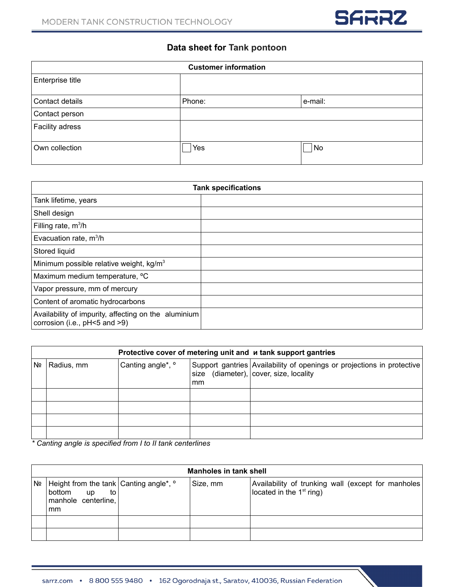

## **Data sheet for Tank pontoon**

| <b>Customer information</b> |        |         |
|-----------------------------|--------|---------|
| Enterprise title            |        |         |
| Contact details             | Phone: | e-mail: |
| Contact person              |        |         |
| Facility adress             |        |         |
| Own collection              | Yes    | No      |

| <b>Tank specifications</b>                                                            |  |  |
|---------------------------------------------------------------------------------------|--|--|
| Tank lifetime, years                                                                  |  |  |
| Shell design                                                                          |  |  |
| Filling rate, $m^3/h$                                                                 |  |  |
| Evacuation rate, $m^3/h$                                                              |  |  |
| Stored liquid                                                                         |  |  |
| Minimum possible relative weight, $kg/m3$                                             |  |  |
| Maximum medium temperature, <sup>o</sup> C                                            |  |  |
| Vapor pressure, mm of mercury                                                         |  |  |
| Content of aromatic hydrocarbons                                                      |  |  |
| Availability of impurity, affecting on the aluminium<br>corrosion (i.e., pH<5 and >9) |  |  |

|    | Protective cover of metering unit and <i>u</i> tank support gantries |                              |                         |                                                                                                                     |  |
|----|----------------------------------------------------------------------|------------------------------|-------------------------|---------------------------------------------------------------------------------------------------------------------|--|
| Nº | Radius, mm                                                           | Canting angle*, <sup>o</sup> | , size<br><sub>mm</sub> | Support gantries Availability of openings or projections in protective<br>(diameter), $\vert$ cover, size, locality |  |
|    |                                                                      |                              |                         |                                                                                                                     |  |
|    |                                                                      |                              |                         |                                                                                                                     |  |
|    |                                                                      |                              |                         |                                                                                                                     |  |
|    |                                                                      |                              |                         |                                                                                                                     |  |

*\* Canting angle is specified from I to II tank centerlines*

|     | Manholes in tank shell                                                                                                   |  |          |                                                                                   |  |
|-----|--------------------------------------------------------------------------------------------------------------------------|--|----------|-----------------------------------------------------------------------------------|--|
| ∣Nº | Height from the tank Canting angle <sup>*</sup> , <sup>o</sup><br>bottom<br>to<br><b>up</b><br>manhole centerline,<br>mm |  | Size, mm | Availability of trunking wall (except for manholes)<br>located in the $1st$ ring) |  |
|     |                                                                                                                          |  |          |                                                                                   |  |
|     |                                                                                                                          |  |          |                                                                                   |  |